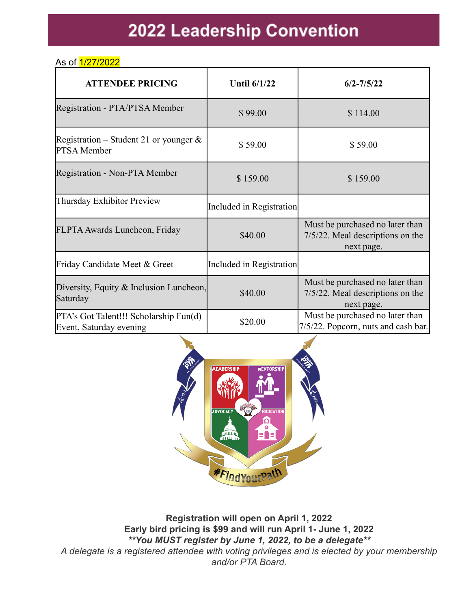# **2022 Leadership Convention**

#### As of 1/27/2022

| <b>ATTENDEE PRICING</b>                                           | <b>Until 6/1/22</b>      | $6/2 - 7/5/22$                                                                    |
|-------------------------------------------------------------------|--------------------------|-----------------------------------------------------------------------------------|
| Registration - PTA/PTSA Member                                    | \$99.00                  | \$114.00                                                                          |
| Registration – Student 21 or younger $\&$<br>PTSA Member          | \$59.00                  | \$59.00                                                                           |
| <b>Registration - Non-PTA Member</b>                              | \$159.00                 | \$159.00                                                                          |
| Thursday Exhibitor Preview                                        | Included in Registration |                                                                                   |
| FLPTA Awards Luncheon, Friday                                     | \$40.00                  | Must be purchased no later than<br>7/5/22. Meal descriptions on the<br>next page. |
| Friday Candidate Meet & Greet                                     | Included in Registration |                                                                                   |
| Diversity, Equity $\&$ Inclusion Luncheon,<br>Saturday            | \$40.00                  | Must be purchased no later than<br>7/5/22. Meal descriptions on the<br>next page. |
| PTA's Got Talent!!! Scholarship Fun(d)<br>Event, Saturday evening | \$20.00                  | Must be purchased no later than<br>7/5/22. Popcorn, nuts and cash bar.            |



**Registration will open on April 1, 2022 Early bird pricing is \$99 and will run April 1- June 1, 2022** *\*\*You MUST register by June 1, 2022, to be a delegate\*\* A delegate is a registered attendee with voting privileges and is elected by your membership and/or PTA Board.*